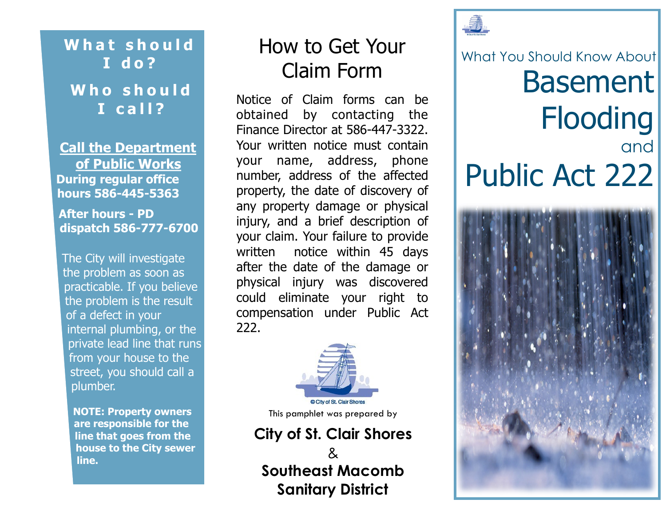**W h a t s h o u l d I d o ? W h o s h o u l d I c a l l ?**

**Call the Department of Public Works During regular office hours 586-445-5363**

**After hours - PD dispatch 586-777-6700**

The City will investigate the problem as soon as practicable. If you believe the problem is the result of a defect in your internal plumbing, or the private lead line that runs from your house to the street, you should call a plumber.

**NOTE: Property owners are responsible for the line that goes from the house to the City sewer line.**

# How to Get Your Claim Form

Notice of Claim forms can be obtained by contacting the Finance Director at 586-447-3322. Your written notice must contain your name, address, phone number, address of the affected property, the date of discovery of any property damage or physical injury, and a brief description of your claim. Your failure to provide written notice within 45 days after the date of the damage or physical injury was discovered could eliminate your right to compensation under Public Act 222.



This pamphlet was prepared by

#### **City of St. Clair Shores**

& **Southeast Macomb Sanitary District**



Basement **Flooding** and Public Act 222 What You Should Know About